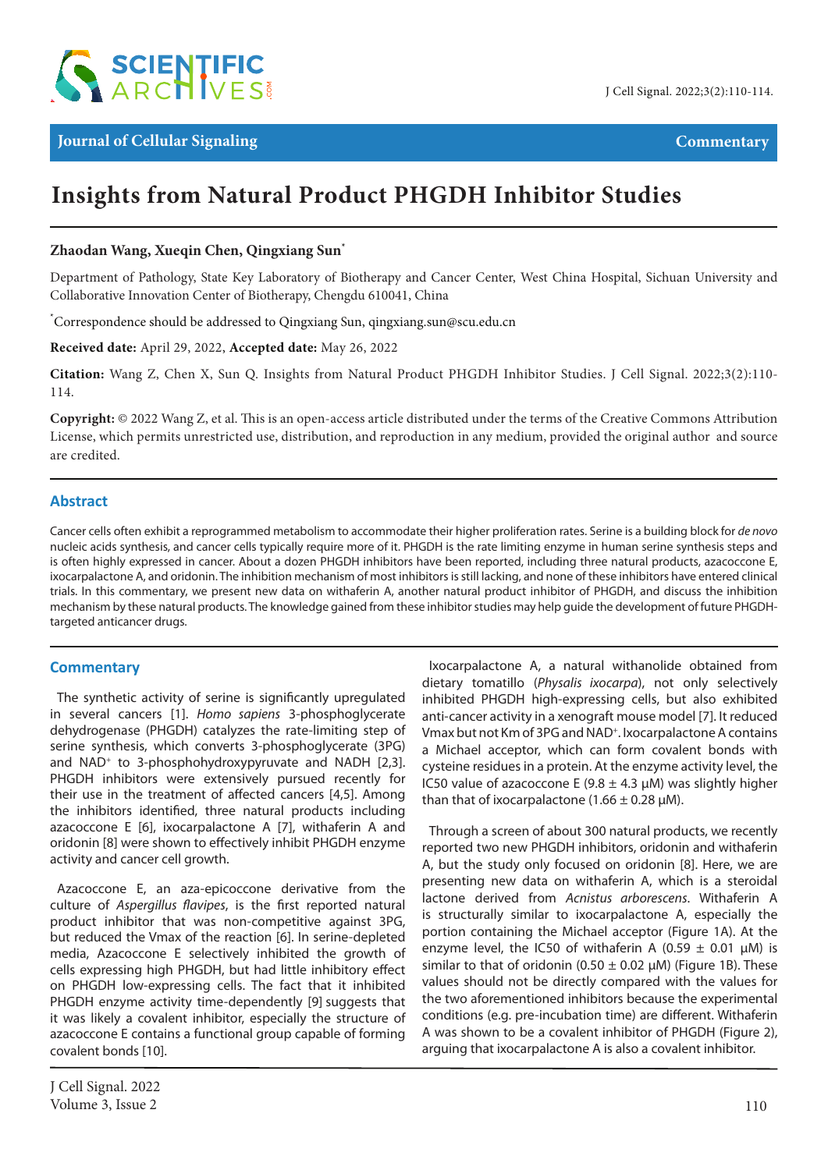

# **Insights from Natural Product PHGDH Inhibitor Studies**

#### **Zhaodan Wang, Xueqin Chen, Qingxiang Sun\***

Department of Pathology, State Key Laboratory of Biotherapy and Cancer Center, West China Hospital, Sichuan University and Collaborative Innovation Center of Biotherapy, Chengdu 610041, China

\* Correspondence should be addressed to Qingxiang Sun, qingxiang.sun@scu.edu.cn

**Received date:** April 29, 2022, **Accepted date:** May 26, 2022

**Citation:** Wang Z, Chen X, Sun Q. Insights from Natural Product PHGDH Inhibitor Studies. J Cell Signal. 2022;3(2):110- 114.

**Copyright:** © 2022 Wang Z, et al. This is an open-access article distributed under the terms of the Creative Commons Attribution License, which permits unrestricted use, distribution, and reproduction in any medium, provided the original author and source are credited.

#### **Abstract**

Cancer cells often exhibit a reprogrammed metabolism to accommodate their higher proliferation rates. Serine is a building block for *de novo* nucleic acids synthesis, and cancer cells typically require more of it. PHGDH is the rate limiting enzyme in human serine synthesis steps and is often highly expressed in cancer. About a dozen PHGDH inhibitors have been reported, including three natural products, azacoccone E, ixocarpalactone A, and oridonin. The inhibition mechanism of most inhibitors is still lacking, and none of these inhibitors have entered clinical trials. In this commentary, we present new data on withaferin A, another natural product inhibitor of PHGDH, and discuss the inhibition mechanism by these natural products. The knowledge gained from these inhibitor studies may help guide the development of future PHGDHtargeted anticancer drugs.

#### **Commentary**

The synthetic activity of serine is significantly upregulated in several cancers [1]. *Homo sapiens* 3-phosphoglycerate dehydrogenase (PHGDH) catalyzes the rate-limiting step of serine synthesis, which converts 3-phosphoglycerate (3PG) and NAD+ to 3-phosphohydroxypyruvate and NADH [2,3]. PHGDH inhibitors were extensively pursued recently for their use in the treatment of affected cancers [4,5]. Among the inhibitors identified, three natural products including azacoccone E [6], ixocarpalactone A [7], withaferin A and oridonin [8] were shown to effectively inhibit PHGDH enzyme activity and cancer cell growth.

Azacoccone E, an aza-epicoccone derivative from the culture of *Aspergillus flavipes*, is the first reported natural product inhibitor that was non-competitive against 3PG, but reduced the Vmax of the reaction [6]. In serine-depleted media, Azacoccone E selectively inhibited the growth of cells expressing high PHGDH, but had little inhibitory effect on PHGDH low-expressing cells. The fact that it inhibited PHGDH enzyme activity time-dependently [9] suggests that it was likely a covalent inhibitor, especially the structure of azacoccone E contains a functional group capable of forming covalent bonds [10].

Ixocarpalactone A, a natural withanolide obtained from dietary tomatillo (*Physalis ixocarpa*), not only selectively inhibited PHGDH high-expressing cells, but also exhibited anti-cancer activity in a xenograft mouse model [7]. It reduced Vmax but not Km of 3PG and NAD+. Ixocarpalactone A contains a Michael acceptor, which can form covalent bonds with cysteine residues in a protein. At the enzyme activity level, the IC50 value of azacoccone E (9.8  $\pm$  4.3  $\mu$ M) was slightly higher than that of ixocarpalactone  $(1.66 \pm 0.28 \text{ uM})$ .

Through a screen of about 300 natural products, we recently reported two new PHGDH inhibitors, oridonin and withaferin A, but the study only focused on oridonin [8]. Here, we are presenting new data on withaferin A, which is a steroidal lactone derived from *Acnistus arborescens*. Withaferin A is structurally similar to ixocarpalactone A, especially the portion containing the Michael acceptor (Figure 1A). At the enzyme level, the IC50 of withaferin A (0.59  $\pm$  0.01  $\mu$ M) is similar to that of oridonin (0.50  $\pm$  0.02  $\mu$ M) (Figure 1B). These values should not be directly compared with the values for the two aforementioned inhibitors because the experimental conditions (e.g. pre-incubation time) are different. Withaferin A was shown to be a covalent inhibitor of PHGDH (Figure 2), arguing that ixocarpalactone A is also a covalent inhibitor.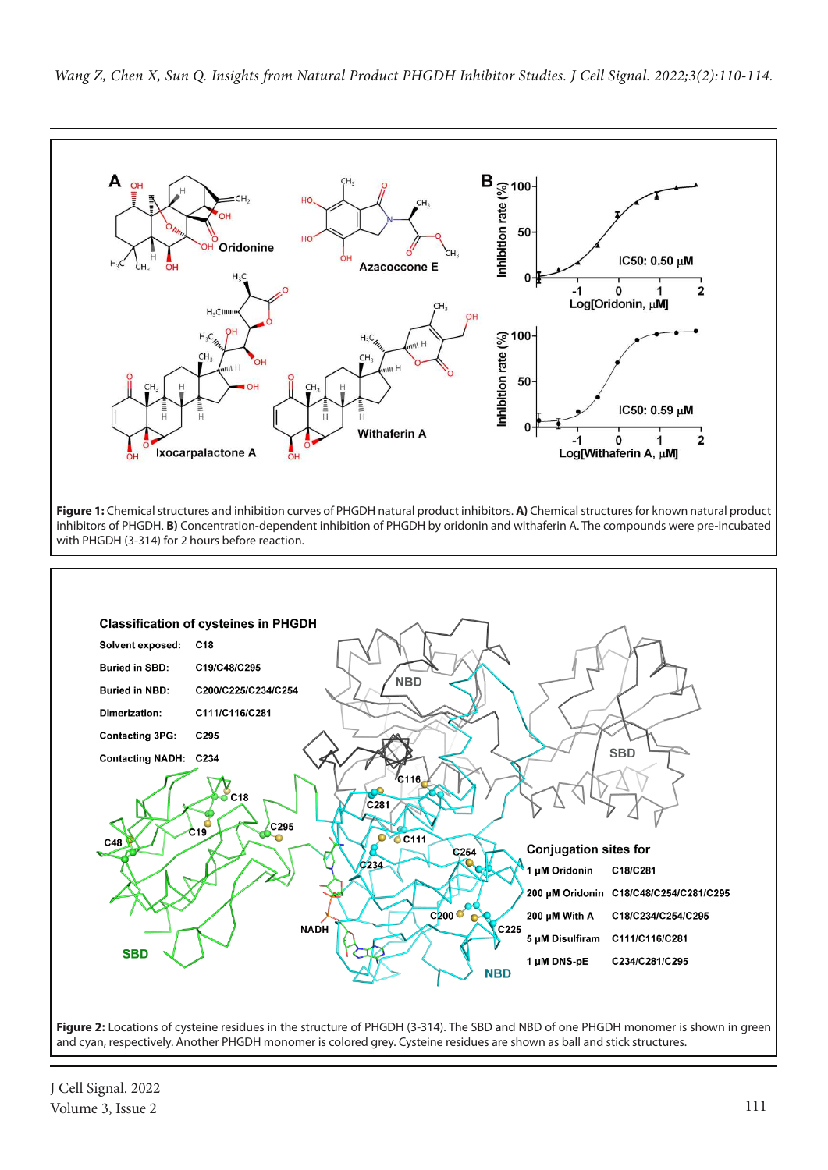



J Cell Signal. 2022 Volume 3, Issue 2 111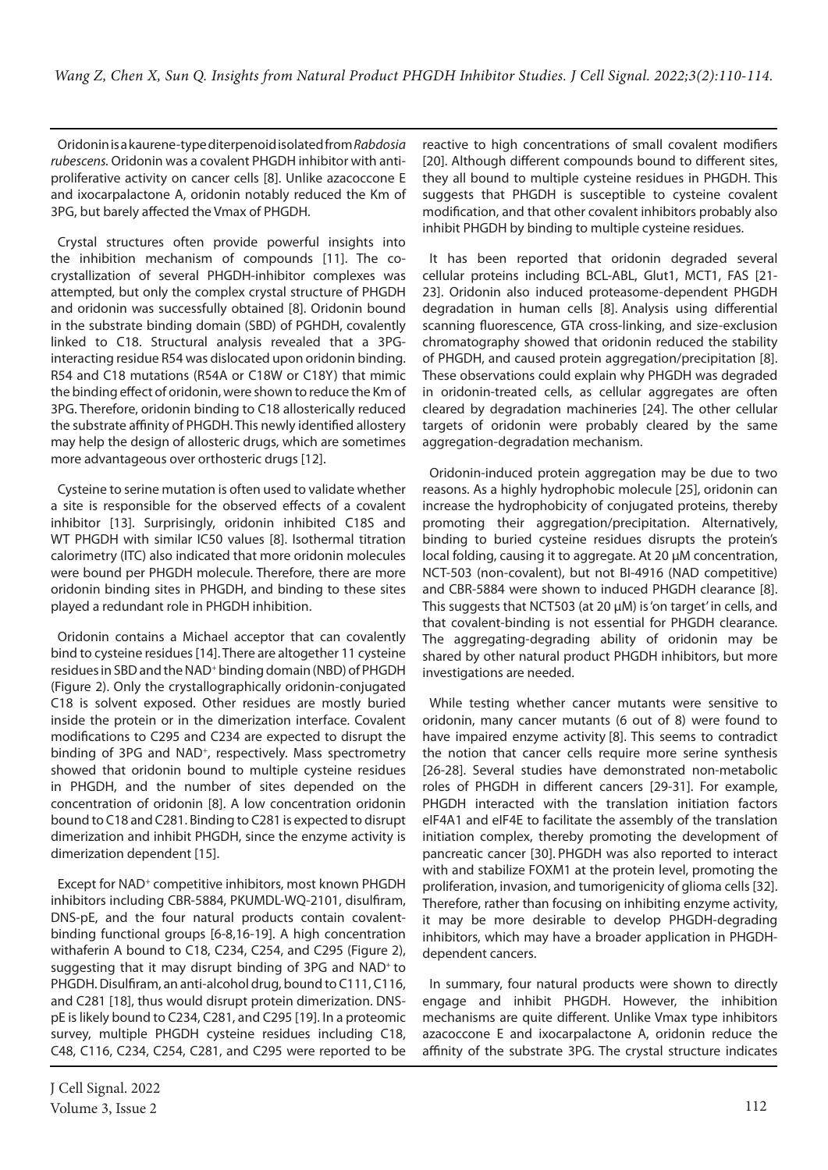Oridonin is a kaurene-type diterpenoid isolated from *Rabdosia rubescens.* Oridonin was a covalent PHGDH inhibitor with antiproliferative activity on cancer cells [8]. Unlike azacoccone E and ixocarpalactone A, oridonin notably reduced the Km of 3PG, but barely affected the Vmax of PHGDH.

Crystal structures often provide powerful insights into the inhibition mechanism of compounds [11]. The cocrystallization of several PHGDH-inhibitor complexes was attempted, but only the complex crystal structure of PHGDH and oridonin was successfully obtained [8]. Oridonin bound in the substrate binding domain (SBD) of PGHDH, covalently linked to C18. Structural analysis revealed that a 3PGinteracting residue R54 was dislocated upon oridonin binding. R54 and C18 mutations (R54A or C18W or C18Y) that mimic the binding effect of oridonin, were shown to reduce the Km of 3PG. Therefore, oridonin binding to C18 allosterically reduced the substrate affinity of PHGDH. This newly identified allostery may help the design of allosteric drugs, which are sometimes more advantageous over orthosteric drugs [12].

Cysteine to serine mutation is often used to validate whether a site is responsible for the observed effects of a covalent inhibitor [13]. Surprisingly, oridonin inhibited C18S and WT PHGDH with similar IC50 values [8]. Isothermal titration calorimetry (ITC) also indicated that more oridonin molecules were bound per PHGDH molecule. Therefore, there are more oridonin binding sites in PHGDH, and binding to these sites played a redundant role in PHGDH inhibition.

Oridonin contains a Michael acceptor that can covalently bind to cysteine residues [14]. There are altogether 11 cysteine residues in SBD and the NAD<sup>+</sup> binding domain (NBD) of PHGDH (Figure 2). Only the crystallographically oridonin-conjugated C18 is solvent exposed. Other residues are mostly buried inside the protein or in the dimerization interface. Covalent modifications to C295 and C234 are expected to disrupt the binding of 3PG and NAD<sup>+</sup>, respectively. Mass spectrometry showed that oridonin bound to multiple cysteine residues in PHGDH, and the number of sites depended on the concentration of oridonin [8]. A low concentration oridonin bound to C18 and C281. Binding to C281 is expected to disrupt dimerization and inhibit PHGDH, since the enzyme activity is dimerization dependent [15].

Except for NAD<sup>+</sup> competitive inhibitors, most known PHGDH inhibitors including CBR-5884, PKUMDL-WQ-2101, disulfiram, DNS-pE, and the four natural products contain covalentbinding functional groups [6-8,16-19]. A high concentration withaferin A bound to C18, C234, C254, and C295 (Figure 2), suggesting that it may disrupt binding of 3PG and NAD<sup>+</sup> to PHGDH. Disulfiram, an anti-alcohol drug, bound to C111, C116, and C281 [18], thus would disrupt protein dimerization. DNSpE is likely bound to C234, C281, and C295 [19]. In a proteomic survey, multiple PHGDH cysteine residues including C18, C48, C116, C234, C254, C281, and C295 were reported to be reactive to high concentrations of small covalent modifiers [20]. Although different compounds bound to different sites, they all bound to multiple cysteine residues in PHGDH. This suggests that PHGDH is susceptible to cysteine covalent modification, and that other covalent inhibitors probably also inhibit PHGDH by binding to multiple cysteine residues.

It has been reported that oridonin degraded several cellular proteins including BCL-ABL, Glut1, MCT1, FAS [21- 23]. Oridonin also induced proteasome-dependent PHGDH degradation in human cells [8]. Analysis using differential scanning fluorescence, GTA cross-linking, and size-exclusion chromatography showed that oridonin reduced the stability of PHGDH, and caused protein aggregation/precipitation [8]. These observations could explain why PHGDH was degraded in oridonin-treated cells, as cellular aggregates are often cleared by degradation machineries [24]. The other cellular targets of oridonin were probably cleared by the same aggregation-degradation mechanism.

Oridonin-induced protein aggregation may be due to two reasons. As a highly hydrophobic molecule [25], oridonin can increase the hydrophobicity of conjugated proteins, thereby promoting their aggregation/precipitation. Alternatively, binding to buried cysteine residues disrupts the protein's local folding, causing it to aggregate. At 20 µM concentration, NCT-503 (non-covalent), but not BI-4916 (NAD competitive) and CBR-5884 were shown to induced PHGDH clearance [8]. This suggests that NCT503 (at 20 µM) is 'on target' in cells, and that covalent-binding is not essential for PHGDH clearance. The aggregating-degrading ability of oridonin may be shared by other natural product PHGDH inhibitors, but more investigations are needed.

While testing whether cancer mutants were sensitive to oridonin, many cancer mutants (6 out of 8) were found to have impaired enzyme activity [8]. This seems to contradict the notion that cancer cells require more serine synthesis [26-28]. Several studies have demonstrated non-metabolic roles of PHGDH in different cancers [29-31]. For example, PHGDH interacted with the translation initiation factors eIF4A1 and eIF4E to facilitate the assembly of the translation initiation complex, thereby promoting the development of pancreatic cancer [30]. PHGDH was also reported to interact with and stabilize FOXM1 at the protein level, promoting the proliferation, invasion, and tumorigenicity of glioma cells [32]. Therefore, rather than focusing on inhibiting enzyme activity, it may be more desirable to develop PHGDH-degrading inhibitors, which may have a broader application in PHGDHdependent cancers.

In summary, four natural products were shown to directly engage and inhibit PHGDH. However, the inhibition mechanisms are quite different. Unlike Vmax type inhibitors azacoccone E and ixocarpalactone A, oridonin reduce the affinity of the substrate 3PG. The crystal structure indicates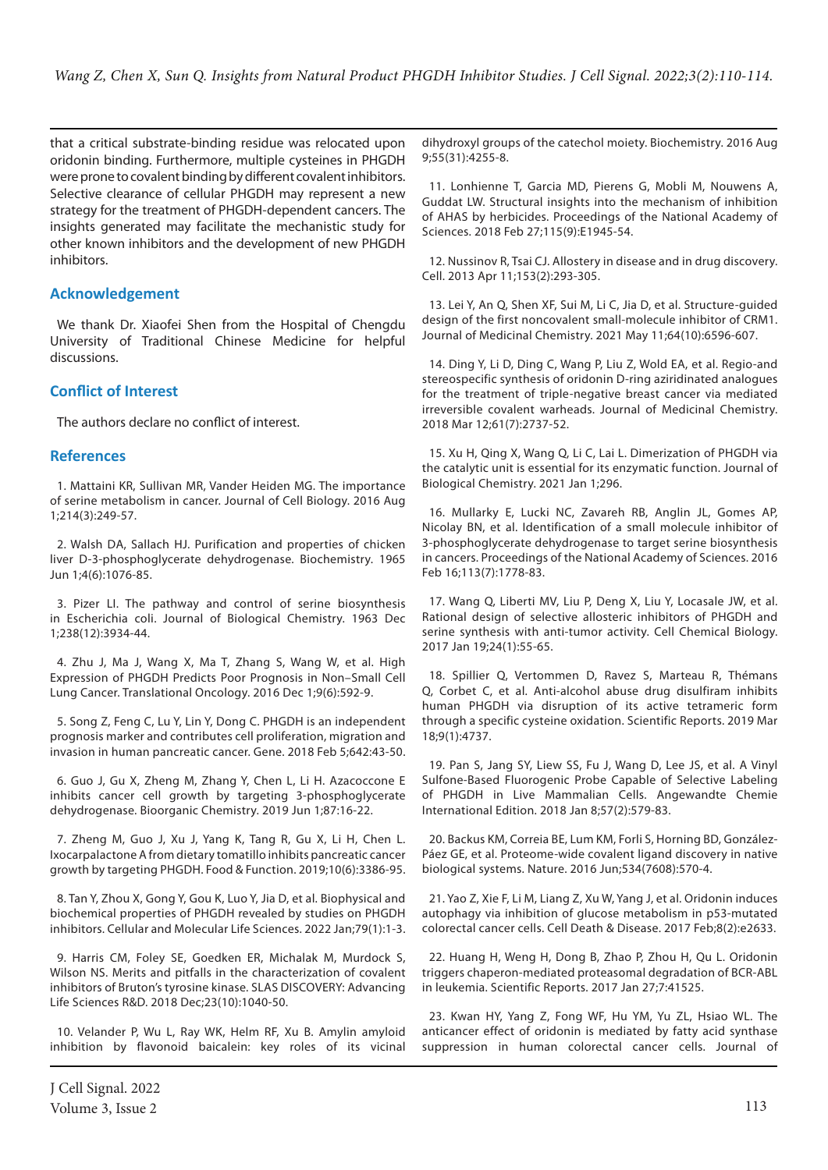that a critical substrate-binding residue was relocated upon oridonin binding. Furthermore, multiple cysteines in PHGDH were prone to covalent binding by different covalent inhibitors. Selective clearance of cellular PHGDH may represent a new strategy for the treatment of PHGDH-dependent cancers. The insights generated may facilitate the mechanistic study for other known inhibitors and the development of new PHGDH inhibitors.

## **Acknowledgement**

We thank Dr. Xiaofei Shen from the Hospital of Chengdu University of Traditional Chinese Medicine for helpful discussions.

## **Conflict of Interest**

The authors declare no conflict of interest.

### **References**

1. Mattaini KR, Sullivan MR, Vander Heiden MG. The importance of serine metabolism in cancer. Journal of Cell Biology. 2016 Aug 1;214(3):249-57.

2. Walsh DA, Sallach HJ. Purification and properties of chicken liver D-3-phosphoglycerate dehydrogenase. Biochemistry. 1965 Jun 1;4(6):1076-85.

3. Pizer LI. The pathway and control of serine biosynthesis in Escherichia coli. Journal of Biological Chemistry. 1963 Dec 1;238(12):3934-44.

4. Zhu J, Ma J, Wang X, Ma T, Zhang S, Wang W, et al. High Expression of PHGDH Predicts Poor Prognosis in Non–Small Cell Lung Cancer. Translational Oncology. 2016 Dec 1;9(6):592-9.

5. Song Z, Feng C, Lu Y, Lin Y, Dong C. PHGDH is an independent prognosis marker and contributes cell proliferation, migration and invasion in human pancreatic cancer. Gene. 2018 Feb 5;642:43-50.

6. Guo J, Gu X, Zheng M, Zhang Y, Chen L, Li H. Azacoccone E inhibits cancer cell growth by targeting 3-phosphoglycerate dehydrogenase. Bioorganic Chemistry. 2019 Jun 1;87:16-22.

7. Zheng M, Guo J, Xu J, Yang K, Tang R, Gu X, Li H, Chen L. Ixocarpalactone A from dietary tomatillo inhibits pancreatic cancer growth by targeting PHGDH. Food & Function. 2019;10(6):3386-95.

8. Tan Y, Zhou X, Gong Y, Gou K, Luo Y, Jia D, et al. Biophysical and biochemical properties of PHGDH revealed by studies on PHGDH inhibitors. Cellular and Molecular Life Sciences. 2022 Jan;79(1):1-3.

9. Harris CM, Foley SE, Goedken ER, Michalak M, Murdock S, Wilson NS. Merits and pitfalls in the characterization of covalent inhibitors of Bruton's tyrosine kinase. SLAS DISCOVERY: Advancing Life Sciences R&D. 2018 Dec;23(10):1040-50.

10. Velander P, Wu L, Ray WK, Helm RF, Xu B. Amylin amyloid inhibition by flavonoid baicalein: key roles of its vicinal

dihydroxyl groups of the catechol moiety. Biochemistry. 2016 Aug 9;55(31):4255-8.

11. Lonhienne T, Garcia MD, Pierens G, Mobli M, Nouwens A, Guddat LW. Structural insights into the mechanism of inhibition of AHAS by herbicides. Proceedings of the National Academy of Sciences. 2018 Feb 27;115(9):E1945-54.

12. Nussinov R, Tsai CJ. Allostery in disease and in drug discovery. Cell. 2013 Apr 11;153(2):293-305.

13. Lei Y, An Q, Shen XF, Sui M, Li C, Jia D, et al. Structure-guided design of the first noncovalent small-molecule inhibitor of CRM1. Journal of Medicinal Chemistry. 2021 May 11;64(10):6596-607.

14. Ding Y, Li D, Ding C, Wang P, Liu Z, Wold EA, et al. Regio-and stereospecific synthesis of oridonin D-ring aziridinated analogues for the treatment of triple-negative breast cancer via mediated irreversible covalent warheads. Journal of Medicinal Chemistry. 2018 Mar 12;61(7):2737-52.

15. Xu H, Qing X, Wang Q, Li C, Lai L. Dimerization of PHGDH via the catalytic unit is essential for its enzymatic function. Journal of Biological Chemistry. 2021 Jan 1;296.

16. Mullarky E, Lucki NC, Zavareh RB, Anglin JL, Gomes AP, Nicolay BN, et al. Identification of a small molecule inhibitor of 3-phosphoglycerate dehydrogenase to target serine biosynthesis in cancers. Proceedings of the National Academy of Sciences. 2016 Feb 16;113(7):1778-83.

17. Wang Q, Liberti MV, Liu P, Deng X, Liu Y, Locasale JW, et al. Rational design of selective allosteric inhibitors of PHGDH and serine synthesis with anti-tumor activity. Cell Chemical Biology. 2017 Jan 19;24(1):55-65.

18. Spillier Q, Vertommen D, Ravez S, Marteau R, Thémans Q, Corbet C, et al. Anti-alcohol abuse drug disulfiram inhibits human PHGDH via disruption of its active tetrameric form through a specific cysteine oxidation. Scientific Reports. 2019 Mar 18;9(1):4737.

19. Pan S, Jang SY, Liew SS, Fu J, Wang D, Lee JS, et al. A Vinyl Sulfone‐Based Fluorogenic Probe Capable of Selective Labeling of PHGDH in Live Mammalian Cells. Angewandte Chemie International Edition. 2018 Jan 8;57(2):579-83.

20. Backus KM, Correia BE, Lum KM, Forli S, Horning BD, González-Páez GE, et al. Proteome-wide covalent ligand discovery in native biological systems. Nature. 2016 Jun;534(7608):570-4.

21. Yao Z, Xie F, Li M, Liang Z, Xu W, Yang J, et al. Oridonin induces autophagy via inhibition of glucose metabolism in p53-mutated colorectal cancer cells. Cell Death & Disease. 2017 Feb;8(2):e2633.

22. Huang H, Weng H, Dong B, Zhao P, Zhou H, Qu L. Oridonin triggers chaperon-mediated proteasomal degradation of BCR-ABL in leukemia. Scientific Reports. 2017 Jan 27;7:41525.

23. Kwan HY, Yang Z, Fong WF, Hu YM, Yu ZL, Hsiao WL. The anticancer effect of oridonin is mediated by fatty acid synthase suppression in human colorectal cancer cells. Journal of